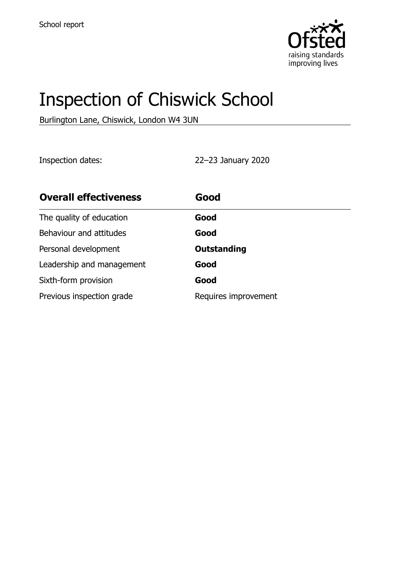

# Inspection of Chiswick School

Burlington Lane, Chiswick, London W4 3UN

Inspection dates: 22–23 January 2020

| <b>Overall effectiveness</b> | Good                 |
|------------------------------|----------------------|
| The quality of education     | Good                 |
| Behaviour and attitudes      | Good                 |
| Personal development         | <b>Outstanding</b>   |
| Leadership and management    | Good                 |
| Sixth-form provision         | Good                 |
| Previous inspection grade    | Requires improvement |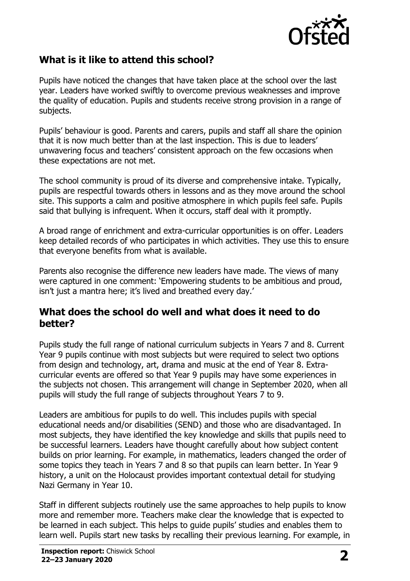

# **What is it like to attend this school?**

Pupils have noticed the changes that have taken place at the school over the last year. Leaders have worked swiftly to overcome previous weaknesses and improve the quality of education. Pupils and students receive strong provision in a range of subjects.

Pupils' behaviour is good. Parents and carers, pupils and staff all share the opinion that it is now much better than at the last inspection. This is due to leaders' unwavering focus and teachers' consistent approach on the few occasions when these expectations are not met.

The school community is proud of its diverse and comprehensive intake. Typically, pupils are respectful towards others in lessons and as they move around the school site. This supports a calm and positive atmosphere in which pupils feel safe. Pupils said that bullying is infrequent. When it occurs, staff deal with it promptly.

A broad range of enrichment and extra-curricular opportunities is on offer. Leaders keep detailed records of who participates in which activities. They use this to ensure that everyone benefits from what is available.

Parents also recognise the difference new leaders have made. The views of many were captured in one comment: 'Empowering students to be ambitious and proud, isn't just a mantra here; it's lived and breathed every day.'

#### **What does the school do well and what does it need to do better?**

Pupils study the full range of national curriculum subjects in Years 7 and 8. Current Year 9 pupils continue with most subjects but were required to select two options from design and technology, art, drama and music at the end of Year 8. Extracurricular events are offered so that Year 9 pupils may have some experiences in the subjects not chosen. This arrangement will change in September 2020, when all pupils will study the full range of subjects throughout Years 7 to 9.

Leaders are ambitious for pupils to do well. This includes pupils with special educational needs and/or disabilities (SEND) and those who are disadvantaged. In most subjects, they have identified the key knowledge and skills that pupils need to be successful learners. Leaders have thought carefully about how subject content builds on prior learning. For example, in mathematics, leaders changed the order of some topics they teach in Years 7 and 8 so that pupils can learn better. In Year 9 history, a unit on the Holocaust provides important contextual detail for studying Nazi Germany in Year 10.

Staff in different subjects routinely use the same approaches to help pupils to know more and remember more. Teachers make clear the knowledge that is expected to be learned in each subject. This helps to guide pupils' studies and enables them to learn well. Pupils start new tasks by recalling their previous learning. For example, in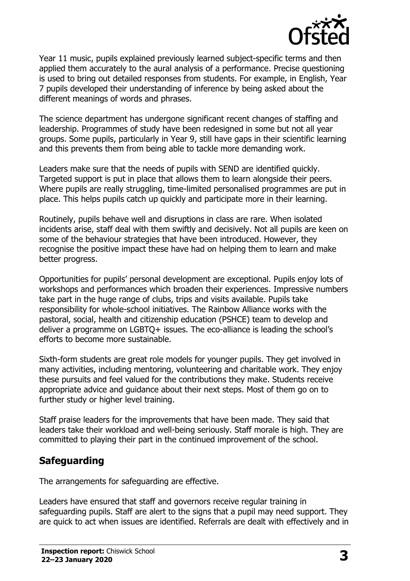

Year 11 music, pupils explained previously learned subject-specific terms and then applied them accurately to the aural analysis of a performance. Precise questioning is used to bring out detailed responses from students. For example, in English, Year 7 pupils developed their understanding of inference by being asked about the different meanings of words and phrases.

The science department has undergone significant recent changes of staffing and leadership. Programmes of study have been redesigned in some but not all year groups. Some pupils, particularly in Year 9, still have gaps in their scientific learning and this prevents them from being able to tackle more demanding work.

Leaders make sure that the needs of pupils with SEND are identified quickly. Targeted support is put in place that allows them to learn alongside their peers. Where pupils are really struggling, time-limited personalised programmes are put in place. This helps pupils catch up quickly and participate more in their learning.

Routinely, pupils behave well and disruptions in class are rare. When isolated incidents arise, staff deal with them swiftly and decisively. Not all pupils are keen on some of the behaviour strategies that have been introduced. However, they recognise the positive impact these have had on helping them to learn and make better progress.

Opportunities for pupils' personal development are exceptional. Pupils enjoy lots of workshops and performances which broaden their experiences. Impressive numbers take part in the huge range of clubs, trips and visits available. Pupils take responsibility for whole-school initiatives. The Rainbow Alliance works with the pastoral, social, health and citizenship education (PSHCE) team to develop and deliver a programme on LGBTQ+ issues. The eco-alliance is leading the school's efforts to become more sustainable.

Sixth-form students are great role models for younger pupils. They get involved in many activities, including mentoring, volunteering and charitable work. They enjoy these pursuits and feel valued for the contributions they make. Students receive appropriate advice and guidance about their next steps. Most of them go on to further study or higher level training.

Staff praise leaders for the improvements that have been made. They said that leaders take their workload and well-being seriously. Staff morale is high. They are committed to playing their part in the continued improvement of the school.

# **Safeguarding**

The arrangements for safeguarding are effective.

Leaders have ensured that staff and governors receive regular training in safeguarding pupils. Staff are alert to the signs that a pupil may need support. They are quick to act when issues are identified. Referrals are dealt with effectively and in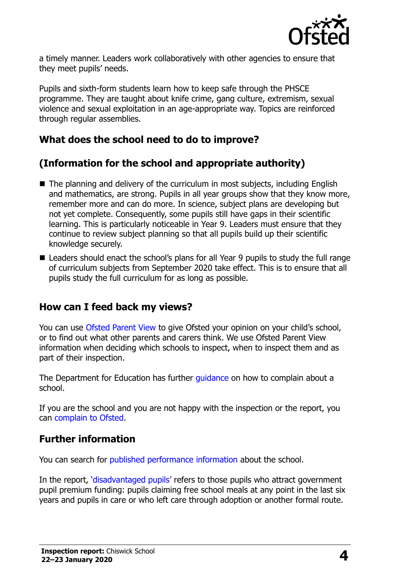

a timely manner. Leaders work collaboratively with other agencies to ensure that they meet pupils' needs.

Pupils and sixth-form students learn how to keep safe through the PHSCE programme. They are taught about knife crime, gang culture, extremism, sexual violence and sexual exploitation in an age-appropriate way. Topics are reinforced through regular assemblies.

## **What does the school need to do to improve?**

# **(Information for the school and appropriate authority)**

- The planning and delivery of the curriculum in most subjects, including English and mathematics, are strong. Pupils in all year groups show that they know more, remember more and can do more. In science, subject plans are developing but not yet complete. Consequently, some pupils still have gaps in their scientific learning. This is particularly noticeable in Year 9. Leaders must ensure that they continue to review subject planning so that all pupils build up their scientific knowledge securely.
- Leaders should enact the school's plans for all Year 9 pupils to study the full range of curriculum subjects from September 2020 take effect. This is to ensure that all pupils study the full curriculum for as long as possible.

### **How can I feed back my views?**

You can use [Ofsted Parent View](http://parentview.ofsted.gov.uk/) to give Ofsted your opinion on your child's school, or to find out what other parents and carers think. We use Ofsted Parent View information when deciding which schools to inspect, when to inspect them and as part of their inspection.

The Department for Education has further quidance on how to complain about a school.

If you are the school and you are not happy with the inspection or the report, you can [complain to Ofsted.](http://www.gov.uk/complain-ofsted-report)

### **Further information**

You can search for [published performance information](http://www.compare-school-performance.service.gov.uk/) about the school.

In the report, '[disadvantaged pupils](http://www.gov.uk/guidance/pupil-premium-information-for-schools-and-alternative-provision-settings)' refers to those pupils who attract government pupil premium funding: pupils claiming free school meals at any point in the last six years and pupils in care or who left care through adoption or another formal route.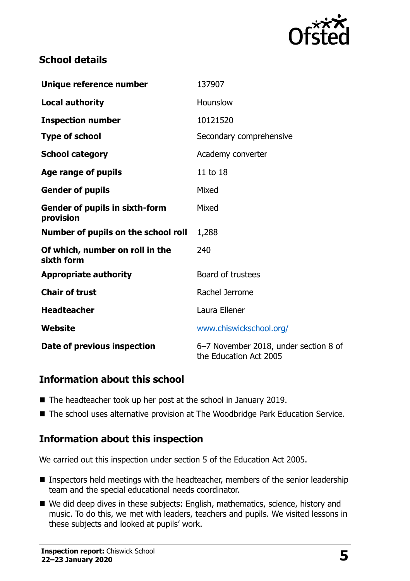

# **School details**

| Unique reference number                            | 137907                                                          |
|----------------------------------------------------|-----------------------------------------------------------------|
| <b>Local authority</b>                             | Hounslow                                                        |
| <b>Inspection number</b>                           | 10121520                                                        |
| <b>Type of school</b>                              | Secondary comprehensive                                         |
| <b>School category</b>                             | Academy converter                                               |
| Age range of pupils                                | 11 to 18                                                        |
| <b>Gender of pupils</b>                            | Mixed                                                           |
| <b>Gender of pupils in sixth-form</b><br>provision | Mixed                                                           |
| Number of pupils on the school roll                | 1,288                                                           |
| Of which, number on roll in the<br>sixth form      | 240                                                             |
| <b>Appropriate authority</b>                       | Board of trustees                                               |
| <b>Chair of trust</b>                              | Rachel Jerrome                                                  |
| <b>Headteacher</b>                                 | Laura Ellener                                                   |
| Website                                            | www.chiswickschool.org/                                         |
| Date of previous inspection                        | 6-7 November 2018, under section 8 of<br>the Education Act 2005 |

### **Information about this school**

- The headteacher took up her post at the school in January 2019.
- The school uses alternative provision at The Woodbridge Park Education Service.

### **Information about this inspection**

We carried out this inspection under section 5 of the Education Act 2005.

- **Inspectors held meetings with the headteacher, members of the senior leadership** team and the special educational needs coordinator.
- We did deep dives in these subjects: English, mathematics, science, history and music. To do this, we met with leaders, teachers and pupils. We visited lessons in these subjects and looked at pupils' work.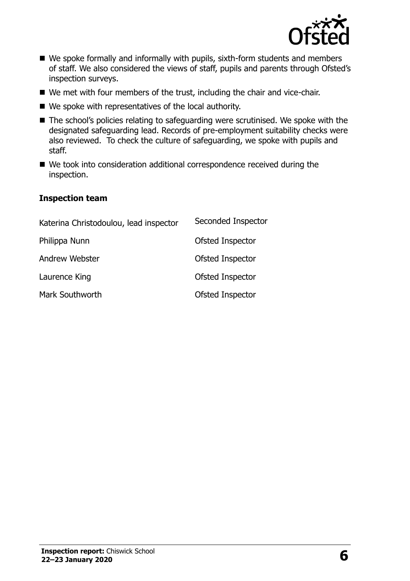

- We spoke formally and informally with pupils, sixth-form students and members of staff. We also considered the views of staff, pupils and parents through Ofsted's inspection surveys.
- We met with four members of the trust, including the chair and vice-chair.
- We spoke with representatives of the local authority.
- The school's policies relating to safeguarding were scrutinised. We spoke with the designated safeguarding lead. Records of pre-employment suitability checks were also reviewed. To check the culture of safeguarding, we spoke with pupils and staff.
- We took into consideration additional correspondence received during the inspection.

#### **Inspection team**

| Katerina Christodoulou, lead inspector | Seconded Inspector |
|----------------------------------------|--------------------|
| Philippa Nunn                          | Ofsted Inspector   |
| Andrew Webster                         | Ofsted Inspector   |
| Laurence King                          | Ofsted Inspector   |
| Mark Southworth                        | Ofsted Inspector   |